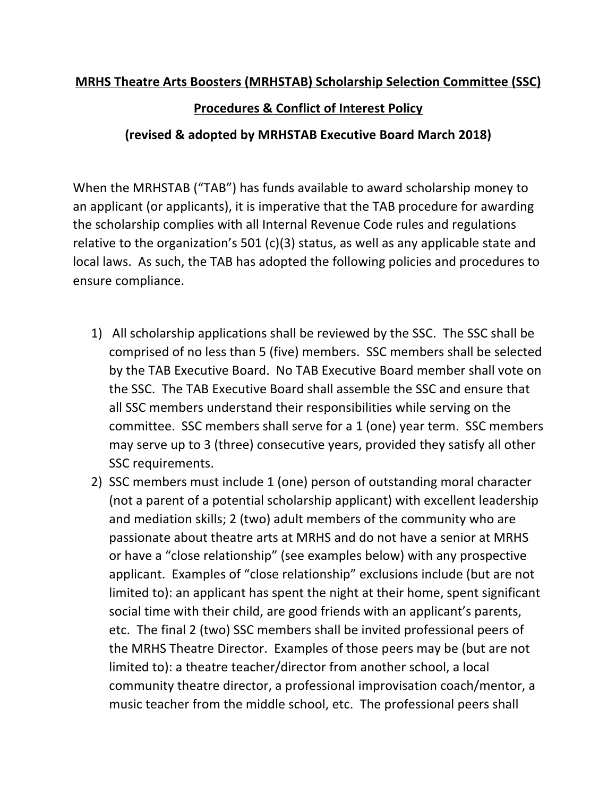## **MRHS Theatre Arts Boosters (MRHSTAB) Scholarship Selection Committee (SSC)**

## **Procedures & Conflict of Interest Policy**

## **(revised & adopted by MRHSTAB Executive Board March 2018)**

When the MRHSTAB ("TAB") has funds available to award scholarship money to an applicant (or applicants), it is imperative that the TAB procedure for awarding the scholarship complies with all Internal Revenue Code rules and regulations relative to the organization's  $501$  (c)(3) status, as well as any applicable state and local laws. As such, the TAB has adopted the following policies and procedures to ensure compliance.

- 1) All scholarship applications shall be reviewed by the SSC. The SSC shall be comprised of no less than 5 (five) members. SSC members shall be selected by the TAB Executive Board. No TAB Executive Board member shall vote on the SSC. The TAB Executive Board shall assemble the SSC and ensure that all SSC members understand their responsibilities while serving on the committee. SSC members shall serve for a 1 (one) year term. SSC members may serve up to 3 (three) consecutive years, provided they satisfy all other SSC requirements.
- 2) SSC members must include 1 (one) person of outstanding moral character (not a parent of a potential scholarship applicant) with excellent leadership and mediation skills; 2 (two) adult members of the community who are passionate about theatre arts at MRHS and do not have a senior at MRHS or have a "close relationship" (see examples below) with any prospective applicant. Examples of "close relationship" exclusions include (but are not limited to): an applicant has spent the night at their home, spent significant social time with their child, are good friends with an applicant's parents, etc. The final 2 (two) SSC members shall be invited professional peers of the MRHS Theatre Director. Examples of those peers may be (but are not limited to): a theatre teacher/director from another school, a local community theatre director, a professional improvisation coach/mentor, a music teacher from the middle school, etc. The professional peers shall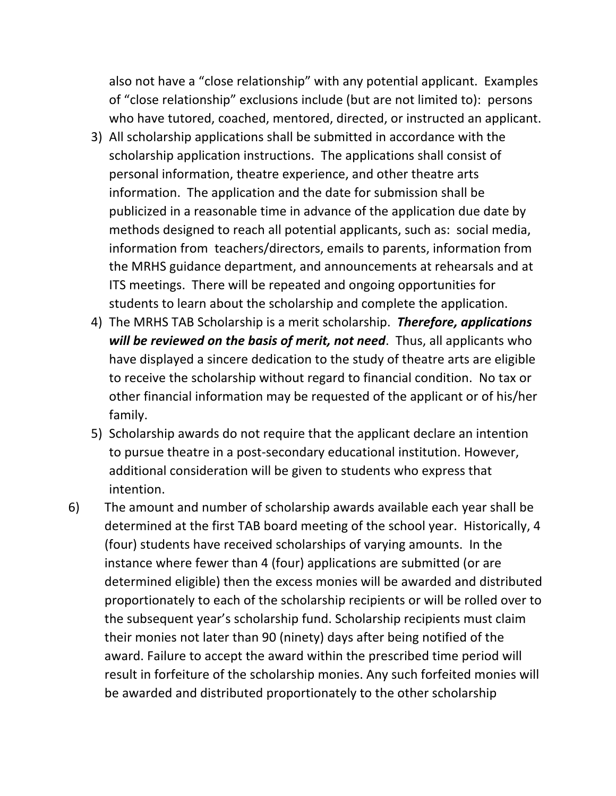also not have a "close relationship" with any potential applicant. Examples of "close relationship" exclusions include (but are not limited to): persons who have tutored, coached, mentored, directed, or instructed an applicant.

- 3) All scholarship applications shall be submitted in accordance with the scholarship application instructions. The applications shall consist of personal information, theatre experience, and other theatre arts information. The application and the date for submission shall be publicized in a reasonable time in advance of the application due date by methods designed to reach all potential applicants, such as: social media, information from teachers/directors, emails to parents, information from the MRHS guidance department, and announcements at rehearsals and at ITS meetings. There will be repeated and ongoing opportunities for students to learn about the scholarship and complete the application.
- 4) The MRHS TAB Scholarship is a merit scholarship. **Therefore, applications** will be reviewed on the basis of merit, not need. Thus, all applicants who have displayed a sincere dedication to the study of theatre arts are eligible to receive the scholarship without regard to financial condition. No tax or other financial information may be requested of the applicant or of his/her family.
- 5) Scholarship awards do not require that the applicant declare an intention to pursue theatre in a post-secondary educational institution. However, additional consideration will be given to students who express that intention.
- 6) The amount and number of scholarship awards available each year shall be determined at the first TAB board meeting of the school year. Historically, 4 (four) students have received scholarships of varying amounts. In the instance where fewer than 4 (four) applications are submitted (or are determined eligible) then the excess monies will be awarded and distributed proportionately to each of the scholarship recipients or will be rolled over to the subsequent year's scholarship fund. Scholarship recipients must claim their monies not later than 90 (ninety) days after being notified of the award. Failure to accept the award within the prescribed time period will result in forfeiture of the scholarship monies. Any such forfeited monies will be awarded and distributed proportionately to the other scholarship